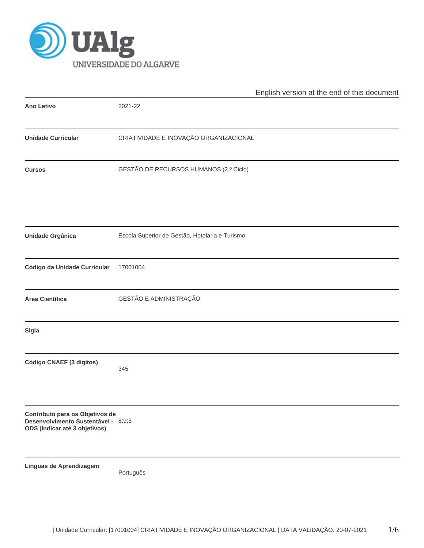

|                                                                                                         |                                                | English version at the end of this document |
|---------------------------------------------------------------------------------------------------------|------------------------------------------------|---------------------------------------------|
| <b>Ano Letivo</b>                                                                                       | 2021-22                                        |                                             |
| <b>Unidade Curricular</b>                                                                               | CRIATIVIDADE E INOVAÇÃO ORGANIZACIONAL         |                                             |
| <b>Cursos</b>                                                                                           | GESTÃO DE RECURSOS HUMANOS (2.º Ciclo)         |                                             |
| Unidade Orgânica                                                                                        | Escola Superior de Gestão, Hotelaria e Turismo |                                             |
| Código da Unidade Curricular                                                                            | 17001004                                       |                                             |
| Área Científica                                                                                         | GESTÃO E ADMINISTRAÇÃO                         |                                             |
| <b>Sigla</b>                                                                                            |                                                |                                             |
| Código CNAEF (3 dígitos)                                                                                | 345                                            |                                             |
| Contributo para os Objetivos de<br>Desenvolvimento Sustentável - 8;9;3<br>ODS (Indicar até 3 objetivos) |                                                |                                             |
| Línguas de Aprendizagem                                                                                 | Português                                      |                                             |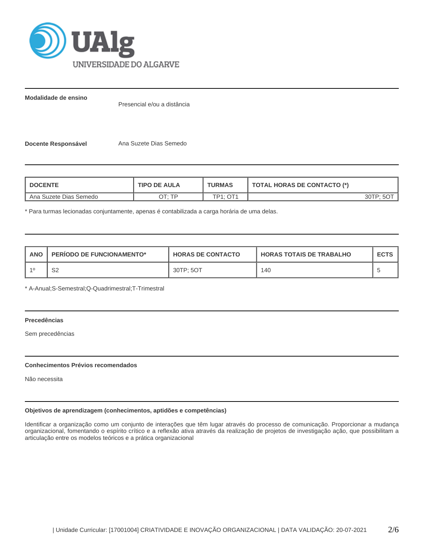

**Modalidade de ensino**

Presencial e/ou a distância

**Docente Responsável** Ana Suzete Dias Semedo

| <b>DOCENTE</b>         | <b>TIPO DE AULA</b> | <b>TURMAS</b> | <b>TOTAL HORAS DE CONTACTO (*)</b> |
|------------------------|---------------------|---------------|------------------------------------|
| Ana Suzete Dias Semedo | חד ּיד∩             | TD1 · NT1     | פ⊤∩ר ?                             |

\* Para turmas lecionadas conjuntamente, apenas é contabilizada a carga horária de uma delas.

| <b>ANO</b> | <b>PERIODO DE FUNCIONAMENTO*</b> | <b>HORAS DE CONTACTO</b> | <b>HORAS TOTAIS DE TRABALHO</b> | <b>ECTS</b> |
|------------|----------------------------------|--------------------------|---------------------------------|-------------|
| $-40$      | r o<br>ےت                        | 30TP: 5OT                | 140                             |             |

\* A-Anual;S-Semestral;Q-Quadrimestral;T-Trimestral

# **Precedências**

Sem precedências

# **Conhecimentos Prévios recomendados**

Não necessita

# **Objetivos de aprendizagem (conhecimentos, aptidões e competências)**

Identificar a organização como um conjunto de interações que têm lugar através do processo de comunicação. Proporcionar a mudança organizacional, fomentando o espírito crítico e a reflexão ativa através da realização de projetos de investigação ação, que possibilitam a articulação entre os modelos teóricos e a prática organizacional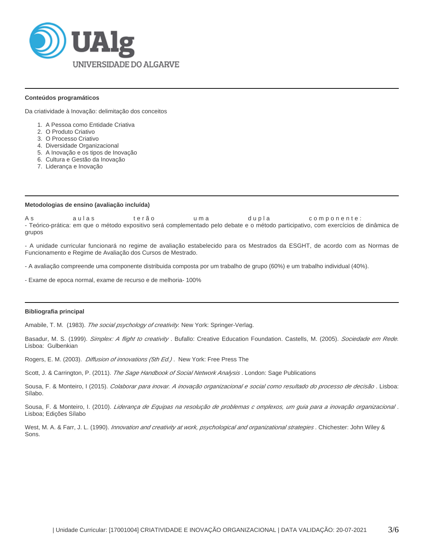

#### **Conteúdos programáticos**

Da criatividade à Inovação: delimitação dos conceitos

- 1. A Pessoa como Entidade Criativa
- 2. O Produto Criativo
- 3. O Processo Criativo
- 4. Diversidade Organizacional
- 5. A Inovação e os tipos de Inovação
- 6. Cultura e Gestão da Inovação
- 7. Liderança e Inovação

#### **Metodologias de ensino (avaliação incluída)**

As aulas terão uma dupla componente: - Teórico-prática: em que o método expositivo será complementado pelo debate e o método participativo, com exercícios de dinâmica de grupos

- A unidade curricular funcionará no regime de avaliação estabelecido para os Mestrados da ESGHT, de acordo com as Normas de Funcionamento e Regime de Avaliação dos Cursos de Mestrado.

- A avaliação compreende uma componente distribuida composta por um trabalho de grupo (60%) e um trabalho individual (40%).

- Exame de epoca normal, exame de recurso e de melhoria- 100%

#### **Bibliografia principal**

Amabile, T. M. (1983). The social psychology of creativity. New York: Springer-Verlag.

Basadur, M. S. (1999). Simplex: A flight to creativity. Bufallo: Creative Education Foundation. Castells, M. (2005). Sociedade em Rede. Lisboa: Gulbenkian

Rogers, E. M. (2003). *Diffusion of innovations (5th Ed.)*. New York: Free Press The

Scott, J. & Carrington, P. (2011). The Sage Handbook of Social Network Analysis. London: Sage Publications

Sousa, F. & Monteiro, I (2015). Colaborar para inovar. A inovação organizacional e social como resultado do processo de decisão. Lisboa: Sílabo.

Sousa, F. & Monteiro, I. (2010). Liderança de Equipas na resolução de problemas c omplexos, um guia para a inovação organizacional. Lisboa; Edições Sílabo

West, M. A. & Farr, J. L. (1990). Innovation and creativity at work, psychological and organizational strategies. Chichester: John Wiley & Sons.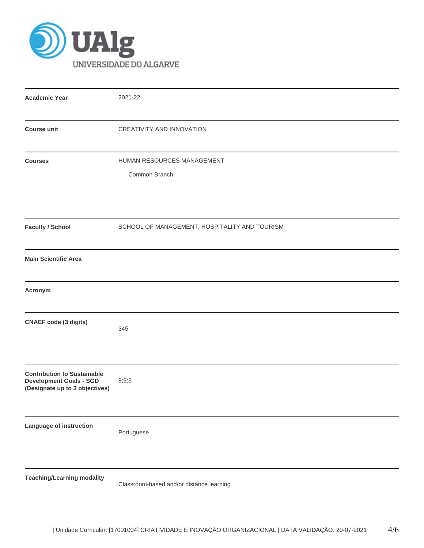

| <b>Academic Year</b>                                                                                   | 2021-22                                       |
|--------------------------------------------------------------------------------------------------------|-----------------------------------------------|
| <b>Course unit</b>                                                                                     | CREATIVITY AND INNOVATION                     |
| <b>Courses</b>                                                                                         | HUMAN RESOURCES MANAGEMENT<br>Common Branch   |
| <b>Faculty / School</b>                                                                                | SCHOOL OF MANAGEMENT, HOSPITALITY AND TOURISM |
| <b>Main Scientific Area</b>                                                                            |                                               |
| Acronym                                                                                                |                                               |
| <b>CNAEF</b> code (3 digits)                                                                           | 345                                           |
| <b>Contribution to Sustainable</b><br><b>Development Goals - SGD</b><br>(Designate up to 3 objectives) | 8;9;3                                         |
| Language of instruction                                                                                | Portuguese                                    |
| <b>Teaching/Learning modality</b>                                                                      | Classroom-based and/or distance learning      |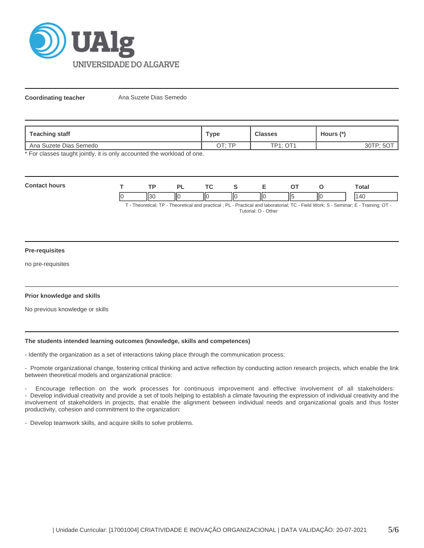

**Coordinating teacher** Ana Suzete Dias Semedo

| Teaching staff         | туре  | <b>Classes</b> | Hours (*)     |  |
|------------------------|-------|----------------|---------------|--|
| Ana Suzete Dias Semedo | חד∙⊤ר | TD1. NT1       | פד∩נ∙<br>ບບ ເ |  |

\* For classes taught jointly, it is only accounted the workload of one.

| Con<br><br>hours | TD  | n  | $\mathbf{r}$ |   |         |     | otal       |
|------------------|-----|----|--------------|---|---------|-----|------------|
|                  | . . | IЮ | -lic<br>Ш    | Ш | ۱۱<br>⋯ | IІC | $\sqrt{1}$ |

T - Theoretical; TP - Theoretical and practical ; PL - Practical and laboratorial; TC - Field Work; S - Seminar; E - Training; OT - Tutorial; O - Other

# **Pre-requisites**

no pre-requisites

# **Prior knowledge and skills**

No previous knowledge or skills

# **The students intended learning outcomes (knowledge, skills and competences)**

- Identify the organization as a set of interactions taking place through the communication process:

- Promote organizational change, fostering critical thinking and active reflection by conducting action research projects, which enable the link between theoretical models and organizational practice:

- Encourage reflection on the work processes for continuous improvement and effective involvement of all stakeholders: - Develop individual creativity and provide a set of tools helping to establish a climate favouring the expression of individual creativity and the involvement of stakeholders in projects, that enable the alignment between individual needs and organizational goals and thus foster productivity, cohesion and commitment to the organization:

- Develop teamwork skills, and acquire skills to solve problems.